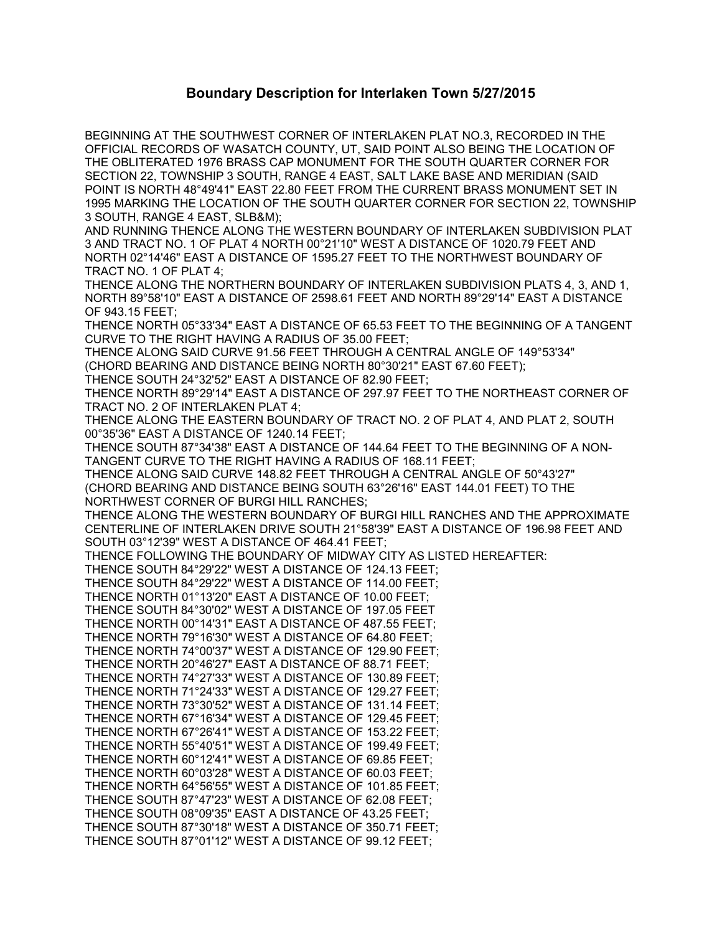## **Boundary Description for Interlaken Town 5/27/2015**

BEGINNING AT THE SOUTHWEST CORNER OF INTERLAKEN PLAT NO.3, RECORDED IN THE OFFICIAL RECORDS OF WASATCH COUNTY, UT, SAID POINT ALSO BEING THE LOCATION OF THE OBLITERATED 1976 BRASS CAP MONUMENT FOR THE SOUTH QUARTER CORNER FOR SECTION 22, TOWNSHIP 3 SOUTH, RANGE 4 EAST, SALT LAKE BASE AND MERIDIAN (SAID POINT IS NORTH 48°49'41" EAST 22.80 FEET FROM THE CURRENT BRASS MONUMENT SET IN 1995 MARKING THE LOCATION OF THE SOUTH QUARTER CORNER FOR SECTION 22, TOWNSHIP 3 SOUTH, RANGE 4 EAST, SLB&M); AND RUNNING THENCE ALONG THE WESTERN BOUNDARY OF INTERLAKEN SUBDIVISION PLAT 3 AND TRACT NO. 1 OF PLAT 4 NORTH 00°21'10" WEST A DISTANCE OF 1020.79 FEET AND NORTH 02°14'46" EAST A DISTANCE OF 1595.27 FEET TO THE NORTHWEST BOUNDARY OF TRACT NO. 1 OF PLAT 4; THENCE ALONG THE NORTHERN BOUNDARY OF INTERLAKEN SUBDIVISION PLATS 4, 3, AND 1, NORTH 89°58'10" EAST A DISTANCE OF 2598.61 FEET AND NORTH 89°29'14" EAST A DISTANCE OF 943.15 FEET; THENCE NORTH 05°33'34" EAST A DISTANCE OF 65.53 FEET TO THE BEGINNING OF A TANGENT CURVE TO THE RIGHT HAVING A RADIUS OF 35.00 FEET; THENCE ALONG SAID CURVE 91.56 FEET THROUGH A CENTRAL ANGLE OF 149°53'34" (CHORD BEARING AND DISTANCE BEING NORTH 80°30'21" EAST 67.60 FEET); THENCE SOUTH 24°32'52" EAST A DISTANCE OF 82.90 FEET; THENCE NORTH 89°29'14" EAST A DISTANCE OF 297.97 FEET TO THE NORTHEAST CORNER OF TRACT NO. 2 OF INTERLAKEN PLAT 4; THENCE ALONG THE EASTERN BOUNDARY OF TRACT NO. 2 OF PLAT 4, AND PLAT 2, SOUTH 00°35'36" EAST A DISTANCE OF 1240.14 FEET; THENCE SOUTH 87°34'38" EAST A DISTANCE OF 144.64 FEET TO THE BEGINNING OF A NON-TANGENT CURVE TO THE RIGHT HAVING A RADIUS OF 168.11 FEET; THENCE ALONG SAID CURVE 148.82 FEET THROUGH A CENTRAL ANGLE OF 50°43'27" (CHORD BEARING AND DISTANCE BEING SOUTH 63°26'16" EAST 144.01 FEET) TO THE NORTHWEST CORNER OF BURGI HILL RANCHES; THENCE ALONG THE WESTERN BOUNDARY OF BURGI HILL RANCHES AND THE APPROXIMATE CENTERLINE OF INTERLAKEN DRIVE SOUTH 21°58'39" EAST A DISTANCE OF 196.98 FEET AND SOUTH 03°12'39" WEST A DISTANCE OF 464.41 FEET; THENCE FOLLOWING THE BOUNDARY OF MIDWAY CITY AS LISTED HEREAFTER: THENCE SOUTH 84°29'22" WEST A DISTANCE OF 124.13 FEET; THENCE SOUTH 84°29'22" WEST A DISTANCE OF 114.00 FEET; THENCE NORTH 01°13'20" EAST A DISTANCE OF 10.00 FEET; THENCE SOUTH 84°30'02" WEST A DISTANCE OF 197.05 FEET THENCE NORTH 00°14'31" EAST A DISTANCE OF 487.55 FEET; THENCE NORTH 79°16'30" WEST A DISTANCE OF 64.80 FEET; THENCE NORTH 74°00'37" WEST A DISTANCE OF 129.90 FEET; THENCE NORTH 20°46'27" EAST A DISTANCE OF 88.71 FEET; THENCE NORTH 74°27'33" WEST A DISTANCE OF 130.89 FEET; THENCE NORTH 71°24'33" WEST A DISTANCE OF 129.27 FEET; THENCE NORTH 73°30'52" WEST A DISTANCE OF 131.14 FEET; THENCE NORTH 67°16'34" WEST A DISTANCE OF 129.45 FEET; THENCE NORTH 67°26'41" WEST A DISTANCE OF 153.22 FEET; THENCE NORTH 55°40'51" WEST A DISTANCE OF 199.49 FEET; THENCE NORTH 60°12'41" WEST A DISTANCE OF 69.85 FEET; THENCE NORTH 60°03'28" WEST A DISTANCE OF 60.03 FEET; THENCE NORTH 64°56'55" WEST A DISTANCE OF 101.85 FEET; THENCE SOUTH 87°47'23" WEST A DISTANCE OF 62.08 FEET; THENCE SOUTH 08°09'35" EAST A DISTANCE OF 43.25 FEET; THENCE SOUTH 87°30'18" WEST A DISTANCE OF 350.71 FEET; THENCE SOUTH 87°01'12" WEST A DISTANCE OF 99.12 FEET;